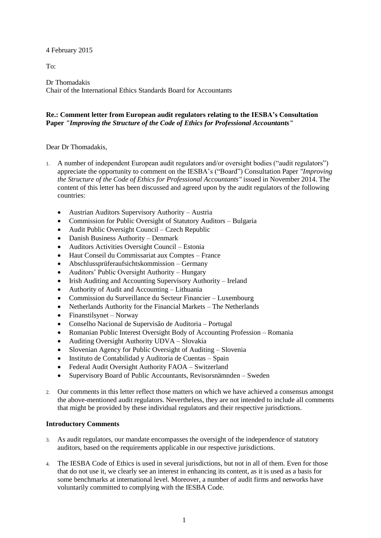4 February 2015

To:

Dr Thomadakis Chair of the International Ethics Standards Board for Accountants

# **Re.: Comment letter from European audit regulators relating to the IESBA's Consultation Paper** *"Improving the Structure of the Code of Ethics for Professional Accountants"*

Dear Dr Thomadakis,

- 1. A number of independent European audit regulators and/or oversight bodies ("audit regulators") appreciate the opportunity to comment on the IESBA's ("Board") Consultation Paper *"Improving the Structure of the Code of Ethics for Professional Accountants"* issued in November 2014. The content of this letter has been discussed and agreed upon by the audit regulators of the following countries:
	- Austrian Auditors Supervisory Authority Austria
	- Commission for Public Oversight of Statutory Auditors Bulgaria
	- Audit Public Oversight Council Czech Republic
	- Danish Business Authority Denmark
	- Auditors Activities Oversight Council Estonia
	- Haut Conseil du Commissariat aux Comptes France
	- Abschlussprüferaufsichtskommission Germany
	- Auditors' Public Oversight Authority Hungary
	- Irish Auditing and Accounting Supervisory Authority Ireland
	- Authority of Audit and Accounting Lithuania
	- Commission du Surveillance du Secteur Financier Luxembourg
	- Netherlands Authority for the Financial Markets The Netherlands
	- Finanstilsynet Norway
	- Conselho Nacional de Supervisão de Auditoria Portugal
	- Romanian Public Interest Oversight Body of Accounting Profession Romania
	- Auditing Oversight Authority UDVA Slovakia
	- Slovenian Agency for Public Oversight of Auditing Slovenia
	- Instituto de Contabilidad y Auditoria de Cuentas Spain
	- Federal Audit Oversight Authority FAOA Switzerland
	- Supervisory Board of Public Accountants, Revisorsnämnden Sweden
- 2. Our comments in this letter reflect those matters on which we have achieved a consensus amongst the above-mentioned audit regulators. Nevertheless, they are not intended to include all comments that might be provided by these individual regulators and their respective jurisdictions.

# **Introductory Comments**

- 3. As audit regulators, our mandate encompasses the oversight of the independence of statutory auditors, based on the requirements applicable in our respective jurisdictions.
- 4. The IESBA Code of Ethics is used in several jurisdictions, but not in all of them. Even for those that do not use it, we clearly see an interest in enhancing its content, as it is used as a basis for some benchmarks at international level. Moreover, a number of audit firms and networks have voluntarily committed to complying with the IESBA Code.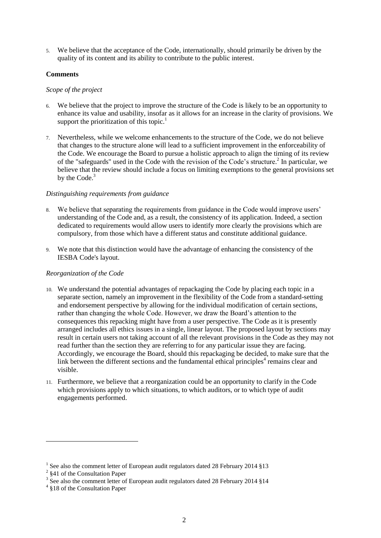5. We believe that the acceptance of the Code, internationally, should primarily be driven by the quality of its content and its ability to contribute to the public interest.

# **Comments**

# *Scope of the project*

- 6. We believe that the project to improve the structure of the Code is likely to be an opportunity to enhance its value and usability, insofar as it allows for an increase in the clarity of provisions. We support the prioritization of this topic.<sup>1</sup>
- 7. Nevertheless, while we welcome enhancements to the structure of the Code, we do not believe that changes to the structure alone will lead to a sufficient improvement in the enforceability of the Code. We encourage the Board to pursue a holistic approach to align the timing of its review of the "safeguards" used in the Code with the revision of the Code's structure. 2 In particular, we believe that the review should include a focus on limiting exemptions to the general provisions set by the Code.<sup>3</sup>

# *Distinguishing requirements from guidance*

- 8. We believe that separating the requirements from guidance in the Code would improve users' understanding of the Code and, as a result, the consistency of its application. Indeed, a section dedicated to requirements would allow users to identify more clearly the provisions which are compulsory, from those which have a different status and constitute additional guidance.
- 9. We note that this distinction would have the advantage of enhancing the consistency of the IESBA Code's layout.

# *Reorganization of the Code*

- 10. We understand the potential advantages of repackaging the Code by placing each topic in a separate section, namely an improvement in the flexibility of the Code from a standard-setting and endorsement perspective by allowing for the individual modification of certain sections, rather than changing the whole Code. However, we draw the Board's attention to the consequences this repacking might have from a user perspective. The Code as it is presently arranged includes all ethics issues in a single, linear layout. The proposed layout by sections may result in certain users not taking account of all the relevant provisions in the Code as they may not read further than the section they are referring to for any particular issue they are facing. Accordingly, we encourage the Board, should this repackaging be decided, to make sure that the link between the different sections and the fundamental ethical principles $4$  remains clear and visible.
- 11. Furthermore, we believe that a reorganization could be an opportunity to clarify in the Code which provisions apply to which situations, to which auditors, or to which type of audit engagements performed.

<u>.</u>

<sup>&</sup>lt;sup>1</sup> See also the comment letter of European audit regulators dated 28 February 2014 §13

<sup>&</sup>lt;sup>2</sup> §41 of the Consultation Paper

<sup>&</sup>lt;sup>3</sup> See also the comment letter of European audit regulators dated 28 February 2014 §14

<sup>&</sup>lt;sup>4</sup> §18 of the Consultation Paper